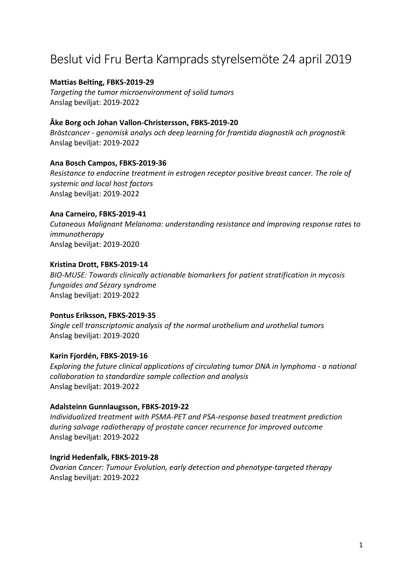# Beslut vid Fru Berta Kamprads styrelsemöte 24 april 2019

#### **Mattias Belting, FBKS‐2019‐29**

*Targeting the tumor microenvironment of solid tumors* Anslag beviljat: 2019‐2022

# **Åke Borg och Johan Vallon‐Christersson, FBKS‐2019‐20**

*Bröstcancer ‐ genomisk analys och deep learning för framtida diagnostik och prognostik* Anslag beviljat: 2019‐2022

#### **Ana Bosch Campos, FBKS‐2019‐36**

*Resistance to endocrine treatment in estrogen receptor positive breast cancer. The role of systemic and local host factors* Anslag beviljat: 2019‐2022

# **Ana Carneiro, FBKS‐2019‐41**

*Cutaneous Malignant Melanoma: understanding resistance and improving response rates to immunotherapy* Anslag beviljat: 2019‐2020

# **Kristina Drott, FBKS‐2019‐14**

*BIO‐MUSE: Towards clinically actionable biomarkers for patient stratification in mycosis fungoides and Sézary syndrome* Anslag beviljat: 2019‐2022

#### **Pontus Eriksson, FBKS‐2019‐35**

*Single cell transcriptomic analysis of the normal urothelium and urothelial tumors* Anslag beviljat: 2019‐2020

#### **Karin Fjordén, FBKS‐2019‐16**

*Exploring the future clinical applications of circulating tumor DNA in lymphoma ‐ a national collaboration to standardize sample collection and analysis* Anslag beviljat: 2019‐2022

#### **Adalsteinn Gunnlaugsson, FBKS‐2019‐22**

*Individualized treatment with PSMA‐PET and PSA‐response based treatment prediction during salvage radiotherapy of prostate cancer recurrence for improved outcome*  Anslag beviljat: 2019‐2022

#### **Ingrid Hedenfalk, FBKS‐2019‐28**

*Ovarian Cancer: Tumour Evolution, early detection and phenotype‐targeted therapy* Anslag beviljat: 2019‐2022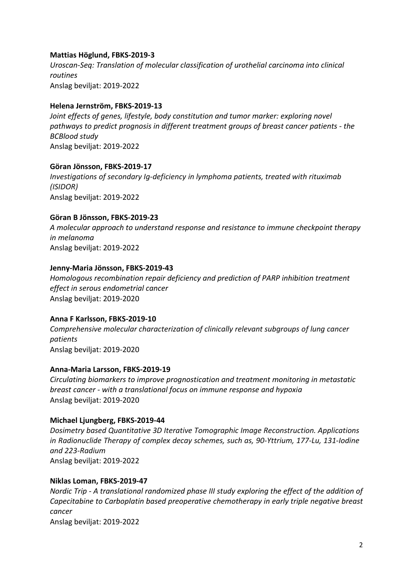# **Mattias Höglund, FBKS‐2019‐3**

*Uroscan‐Seq: Translation of molecular classification of urothelial carcinoma into clinical routines* Anslag beviljat: 2019‐2022

#### **Helena Jernström, FBKS‐2019‐13**

*Joint effects of genes, lifestyle, body constitution and tumor marker: exploring novel pathways to predict prognosis in different treatment groups of breast cancer patients ‐ the BCBlood study* Anslag beviljat: 2019‐2022

#### **Göran Jönsson, FBKS‐2019‐17**

*Investigations of secondary Ig‐deficiency in lymphoma patients, treated with rituximab (ISIDOR)* Anslag beviljat: 2019‐2022

# **Göran B Jönsson, FBKS‐2019‐23**

*A molecular approach to understand response and resistance to immune checkpoint therapy in melanoma* Anslag beviljat: 2019‐2022

# **Jenny‐Maria Jönsson, FBKS‐2019‐43**

*Homologous recombination repair deficiency and prediction of PARP inhibition treatment effect in serous endometrial cancer* Anslag beviljat: 2019‐2020

#### **Anna F Karlsson, FBKS‐2019‐10**

*Comprehensive molecular characterization of clinically relevant subgroups of lung cancer patients* Anslag beviljat: 2019‐2020

#### **Anna‐Maria Larsson, FBKS‐2019‐19**

*Circulating biomarkers to improve prognostication and treatment monitoring in metastatic breast cancer ‐ with a translational focus on immune response and hypoxia* Anslag beviljat: 2019‐2020

#### **Michael Ljungberg, FBKS‐2019‐44**

*Dosimetry based Quantitative 3D Iterative Tomographic Image Reconstruction. Applications in Radionuclide Therapy of complex decay schemes, such as, 90‐Yttrium, 177‐Lu, 131‐Iodine and 223‐Radium* Anslag beviljat: 2019‐2022

#### **Niklas Loman, FBKS‐2019‐47**

*Nordic Trip ‐ A translational randomized phase III study exploring the effect of the addition of Capecitabine to Carboplatin based preoperative chemotherapy in early triple negative breast cancer* Anslag beviljat: 2019‐2022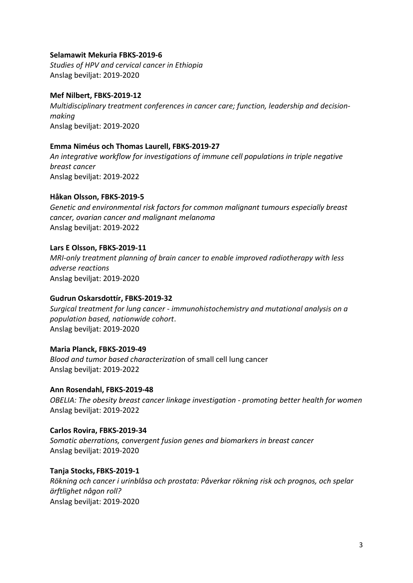# **Selamawit Mekuria FBKS‐2019‐6**

*Studies of HPV and cervical cancer in Ethiopia* Anslag beviljat: 2019‐2020

# **Mef Nilbert, FBKS‐2019‐12**

*Multidisciplinary treatment conferences in cancer care; function, leadership and decision‐ making* Anslag beviljat: 2019‐2020

# **Emma Niméus och Thomas Laurell, FBKS‐2019‐27**

*An integrative workflow for investigations of immune cell populations in triple negative breast cancer* Anslag beviljat: 2019‐2022

# **Håkan Olsson, FBKS‐2019‐5**

*Genetic and environmental risk factors for common malignant tumours especially breast cancer, ovarian cancer and malignant melanoma* Anslag beviljat: 2019‐2022

# **Lars E Olsson, FBKS‐2019‐11**

*MRI‐only treatment planning of brain cancer to enable improved radiotherapy with less adverse reactions* Anslag beviljat: 2019‐2020

#### **Gudrun Oskarsdottír, FBKS‐2019‐32**

*Surgical treatment for lung cancer ‐ immunohistochemistry and mutational analysis on a population based, nationwide cohort*. Anslag beviljat: 2019‐2020

#### **Maria Planck, FBKS‐2019‐49**

*Blood and tumor based characterizati*on of small cell lung cancer Anslag beviljat: 2019‐2022

#### **Ann Rosendahl, FBKS‐2019‐48**

*OBELIA: The obesity breast cancer linkage investigation ‐ promoting better health for women* Anslag beviljat: 2019‐2022

# **Carlos Rovira, FBKS‐2019‐34**

*Somatic aberrations, convergent fusion genes and biomarkers in breast cancer* Anslag beviljat: 2019‐2020

#### **Tanja Stocks, FBKS‐2019‐1**

*Rökning och cancer i urinblåsa och prostata: Påverkar rökning risk och prognos, och spelar ärftlighet någon roll?* Anslag beviljat: 2019‐2020